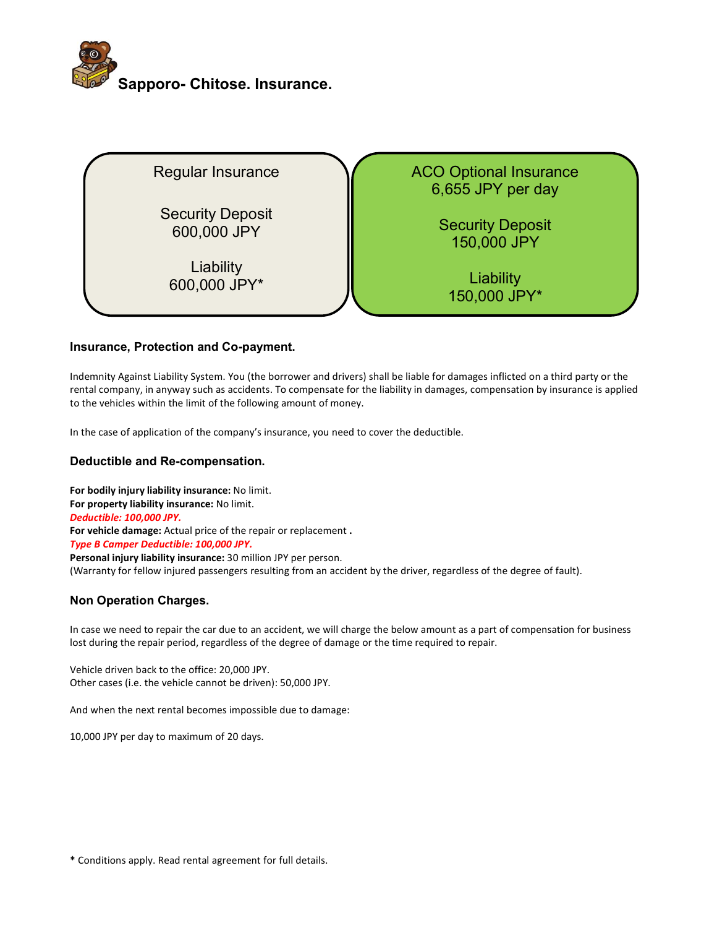



# Insurance, Protection and Co-payment.

Indemnity Against Liability System. You (the borrower and drivers) shall be liable for damages inflicted on a third party or the rental company, in anyway such as accidents. To compensate for the liability in damages, compensation by insurance is applied to the vehicles within the limit of the following amount of money.

In the case of application of the company's insurance, you need to cover the deductible.

# Deductible and Re-compensation.

For bodily injury liability insurance: No limit. For property liability insurance: No limit. Deductible: 100,000 JPY. For vehicle damage: Actual price of the repair or replacement. Type B Camper Deductible: 100,000 JPY. Personal injury liability insurance: 30 million JPY per person. (Warranty for fellow injured passengers resulting from an accident by the driver, regardless of the degree of fault).

## Non Operation Charges.

In case we need to repair the car due to an accident, we will charge the below amount as a part of compensation for business lost during the repair period, regardless of the degree of damage or the time required to repair.

Vehicle driven back to the office: 20,000 JPY. Other cases (i.e. the vehicle cannot be driven): 50,000 JPY.

And when the next rental becomes impossible due to damage:

10,000 JPY per day to maximum of 20 days.

\* Conditions apply. Read rental agreement for full details.